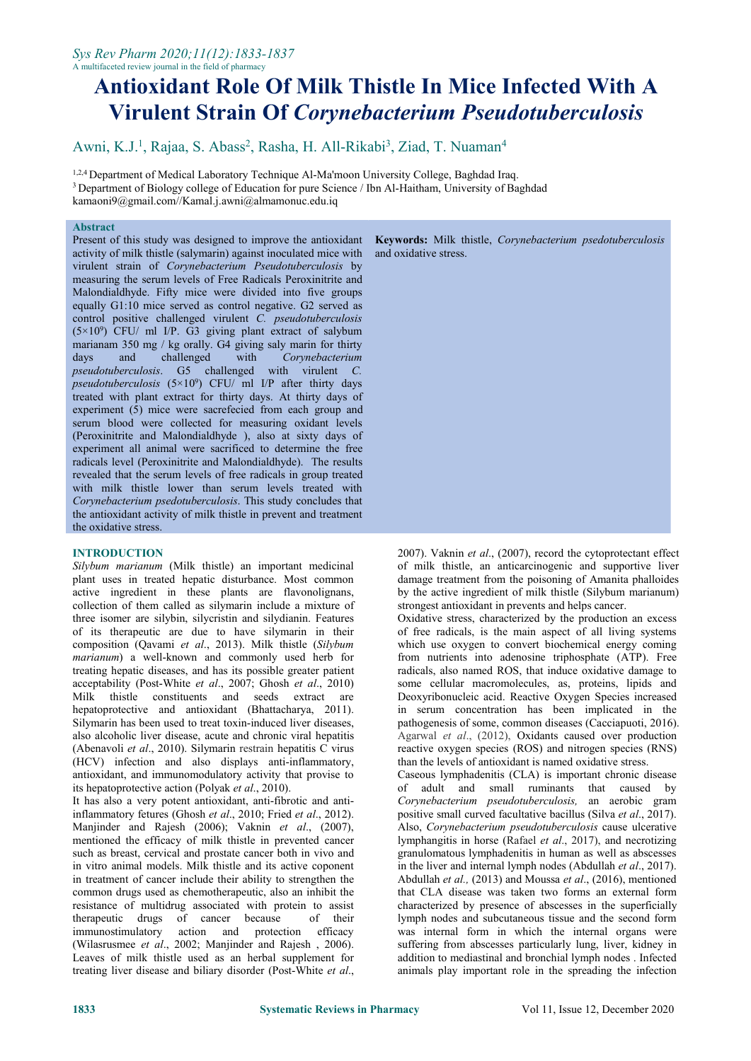# **Antioxidant Role Of Milk Thistle In Mice Infected With A Virulent Strain Of** *Corynebacterium Pseudotuberculosis*

Awni, K.J.<sup>1</sup>, Rajaa, S. Abass<sup>2</sup>, Rasha, H. All-Rikabi<sup>3</sup>, Ziad, T. Nuaman<sup>4</sup> 4

<sup>1,2,4</sup> Department of Medical Laboratory Technique Al-Ma'moon University College, Baghdad Iraq. <sup>3</sup> Department of Biology college of Education for pure Science / Ibn Al-Haitham, University of Baghdad [kamaoni9@gmail.com/](mailto:kamaoni9@gmail.com)/[Kamal.j.awni@almamonuc.edu.iq](mailto:Kamal.j.awni@almamonuc.edu.iq)

## **Abstract**

Present of this study was designed to improve the antioxidant activity of milk thistle (salymarin) against inoculated mice with virulent strain of *Corynebacterium Pseudotuberculosis* by measuring the serum levels of Free Radicals Peroxinitrite and Malondialdhyde. Fifty mice were divided into five groups equally G1:10 mice served as control negative. G2 served as control positive challenged virulent *C. pseudotuberculosis* (5×10 <sup>9</sup>) CFU/ ml I/P. G3 giving plant extract of salybum marianam 350 mg / kg orally. G4 giving saly marin for thirty<br>days and challenged with Corvnebacterium days and challenged with *Corynebacterium pseudotuberculosis*. G5 challenged with virulent *C. pseudotuberculosis* (5×10 <sup>9</sup>) CFU/ ml I/P after thirty days treated with plant extract for thirty days. At thirty days of experiment (5) mice were sacrefecied from each group and serum blood were collected for measuring oxidant levels (Peroxinitrite and Malondialdhyde ), also at sixty days of experiment all animal were sacrificed to determine the free radicals level (Peroxinitrite and Malondialdhyde). The results revealed that the serum levels of free radicals in group treated with milk thistle lower than serum levels treated with *Corynebacterium psedotuberculosis*. This study concludes that the antioxidant activity of milk thistle in prevent and treatment the oxidative stress.

## **INTRODUCTION**

*Silybum marianum* (Milk thistle) an important medicinal plant uses in treated hepatic disturbance. Most common active ingredient in these plants are flavonolignans, collection of them called as silymarin include a mixture of three isomer are silybin, silycristin and silydianin. Features of its therapeutic are due to have silymarin in their composition (Qavami *et al*., 2013). Milk thistle (*Silybum marianum*) a well-known and commonly used herb for treating hepatic diseases, and has its possible greater patient acceptability (Post-White *et al*., 2007; Ghosh *et al*., 2010) Milk thistle constituents and seeds extract are hepatoprotective and antioxidant (Bhattacharya, 2011). Silymarin has been used to treat toxin-induced liver diseases, also alcoholic liver disease, acute and chronic viral hepatitis (Abenavoli *et al*., 2010). Silymarin restrain hepatitis C virus (HCV) infection and also displays anti-inflammatory, antioxidant, and immunomodulatory activity that provise to its hepatoprotective action (Polyak *et al*., 2010).

It has also a very potent antioxidant, anti-fibrotic and antiinflammatory fetures (Ghosh *et al*., 2010; Fried *et al*., 2012). Manjinder and Rajesh (2006); Vaknin *et al*., (2007), mentioned the efficacy of milk thistle in prevented cancer such as breast, cervical and prostate cancer both in vivo and in vitro animal models. Milk thistle and its active coponent in treatment of cancer include their ability to strengthen the common drugs used as chemotherapeutic, also an inhibit the resistance of multidrug associated with protein to assist therapeutic drugs of cancer because of their therapeutic drugs of cancer because immunostimulatory action and protection efficacy (Wilasrusmee *et al*., 2002; Manjinder and Rajesh , 2006). Leaves of milk thistle used as an herbal supplement for treating liver disease and biliary disorder (Post-White *et al*.,

**Keywords:** Milk thistle, *Corynebacterium psedotuberculosis* and oxidative stress.

2007). Vaknin *et al*., (2007), record the cytoprotectant effect of milk thistle, an anticarcinogenic and supportive liver damage treatment from the poisoning of Amanita phalloides by the active ingredient of milk thistle (Silybum marianum) strongest antioxidant in prevents and helps cancer.

Oxidative stress, characterized by the production an excess of free radicals, is the main aspect of all living systems which use oxygen to convert biochemical energy coming from nutrients into adenosine triphosphate (ATP). Free radicals, also named ROS, that induce oxidative damage to some cellular macromolecules, as, proteins, lipids and Deoxyribonucleic acid. Reactive Oxygen Species increased in serum concentration has been implicated in the pathogenesis of some, common diseases (Cacciapuoti, 2016). Agarwal *et al*., (2012), Oxidants caused over production reactive oxygen species (ROS) and nitrogen species (RNS) than the levels of antioxidant is named oxidative stress.

Caseous lymphadenitis (CLA) is important chronic disease of adult and small ruminants that caused by *Corynebacterium pseudotuberculosis,* an aerobic gram positive small curved facultative bacillus (Silva *et al*., 2017). Also, *Corynebacterium pseudotuberculosis* cause ulcerative lymphangitis in horse (Rafael *et al*., 2017), and necrotizing granulomatous lymphadenitis in human as well as abscesses in the liver and internal lymph nodes (Abdullah *et al.*, 2017). Abdullah *et al.,* (2013) and Moussa *et al*., (2016), mentioned that CLA disease was taken two forms an external form characterized by presence of abscesses in the superficially lymph nodes and subcutaneous tissue and the second form was internal form in which the internal organs were suffering from abscesses particularly lung, liver, kidney in addition to mediastinal and bronchial lymph nodes . Infected animals play important role in the spreading the infection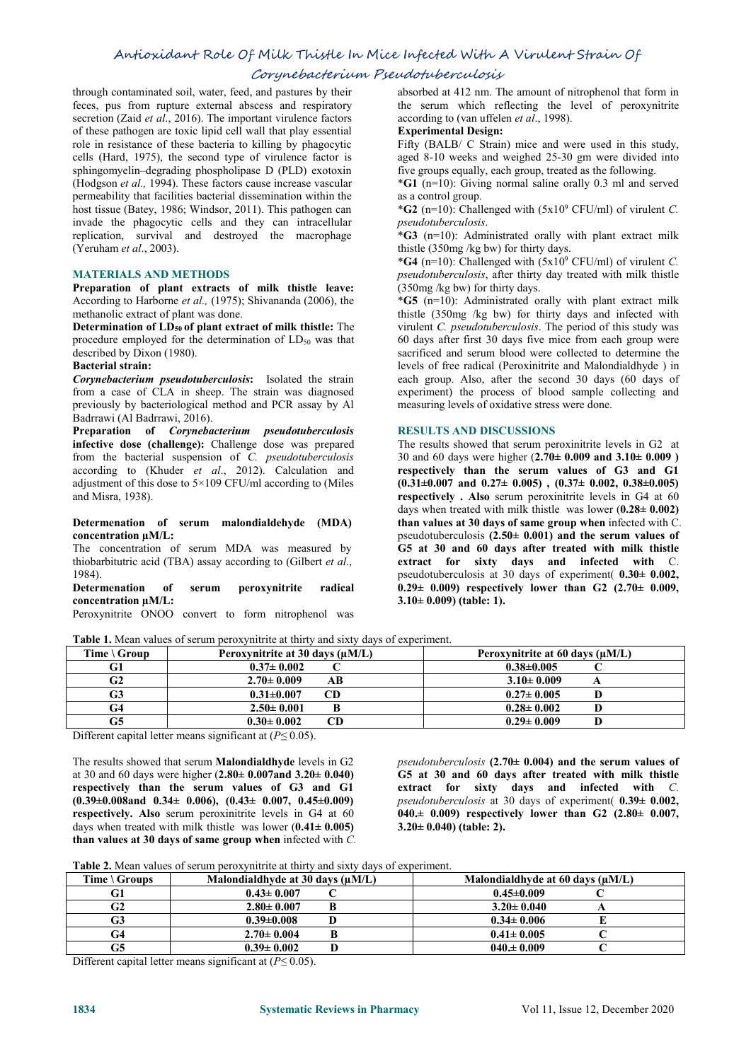# Antioxidant Role Of Milk Thistle In Mice Infected With A Virulent Strain Of

# Corynebacterium Pseudotuberculosis

through contaminated soil, water, feed, and pastures by their feces, pus from rupture external abscess and respiratory secretion (Zaid *et al*., 2016). The important virulence factors of these pathogen are toxic lipid cell wall that play essential role in resistance of these bacteria to killing by phagocytic Fifty (BALB/ C Strain) mice and were used in this study, cells (Hard, 1975), the second type of virulence factor is sphingomyelin–degrading phospholipase D (PLD) exotoxin (Hodgson *et al.,* 1994). These factors cause increase vascular permeability that facilities bacterial dissemination within the host tissue (Batey, 1986; Windsor, 2011). This pathogen can invade the phagocytic cells and they can intracellular replication, survival and destroyed the macrophage (Yeruham *et al*., 2003).

#### **MATERIALS AND METHODS**

**Preparation of plant extracts of milk thistle leave:** According to Harborne *et al.,* (1975); Shivananda (2006), the methanolic extract of plant was done.

**Determination of LD<sup>50</sup> of plant extract of milk thistle:** The procedure employed for the determination of LD<sub>50</sub> was that described by Dixon (1980).

#### **Bacterial strain:**

*Corynebacterium pseudotuberculosis***:** Isolated the strain from a case of CLA in sheep. The strain was diagnosed previously by bacteriological method and PCR assay by Al Badrrawi (Al Badrrawi, 2016).

**Preparation of** *Corynebacterium pseudotuberculosis* **infective dose (challenge):** Challenge dose was prepared from the bacterial suspension of *C. pseudotuberculosis* according to (Khuder *et al*., 2012). Calculation and adjustment of this dose to 5×109 CFU/ml according to (Miles and Misra, 1938).

#### **Determenation of serum malondialdehyde (MDA) concentration µM/L:**

The concentration of serum MDA was measured by thiobarbitutric acid (TBA) assay according to (Gilbert *et al*., 1984).

**Determenation of serum peroxynitrite radical concentration µM/L:**

Peroxynitrite ONOO convert to form nitrophenol was

**Table 1.** Mean values of serum peroxynitrite at thirty and sixty days of experiment.

absorbed at 412 nm.The amount of nitrophenol that form in the serum which reflecting the level of peroxynitrite according to (van uffelen *et al*., 1998).

### **Experimental Design:**

aged 8-10 weeks and weighed 25-30 gm were divided into five groups equally, each group, treated as the following.

\***G1** (n=10): Giving normal saline orally 0.3 ml and served as a control group.

\***G2** (n=10): Challenged with (5x10 <sup>9</sup> CFU/ml) of virulent *C. pseudotuberculosis*.

\***G3** (n=10): Administrated orally with plant extract milk thistle  $(350mg/kg$  bw) for thirty days.

\***G4** (n=10): Challenged with (5x10 <sup>9</sup> CFU/ml) of virulent *C. pseudotuberculosis*, after thirty day treated with milk thistle  $(350mg/kg)$  for thirty days.

\***G5** (n=10): Administrated orally with plant extract milk thistle (350mg /kg bw) for thirty days and infected with virulent *C. pseudotuberculosis*. The period of this study was 60 days after first 30 days five mice from each group were sacrificed and serum blood were collected to determine the levels of free radical (Peroxinitrite and Malondialdhyde ) in each group. Also, after the second 30 days (60 days of experiment) the process of blood sample collecting and measuring levels of oxidative stress were done.

#### **RESULTS AND DISCUSSIONS**

The results showed that serum peroxinitrite levels in G2 at 30 and 60 dayswere higher (**2.70± 0.009 and 3.10± 0.009 ) respectively than the serum values** of G3 and G1 **(0.31±0.007 and 0.27± 0.005) , (0.37± 0.002, 0.38±0.005) respectively . Also** serum peroxinitrite levels in G4 at 60 days when treated with milk thistle was lower (**0.28± 0.002) than values at30 days ofsame group when** infected with C. pseudotuberculosis **(2.50± 0.001) and the serum values of G5 at 30 and 60 days after treated with milk thistle extract for sixty days and infected with** C. pseudotuberculosis at 30 days of experiment( **0.30± 0.002, 0.29± 0.009) respectively lower than G2 (2.70± 0.009, 3.10± 0.009) (table: 1).**

| Time $\setminus$ Group | Peroxynitrite at 30 days $(\mu M/L)$ | Peroxynitrite at 60 days $(\mu M/L)$ |
|------------------------|--------------------------------------|--------------------------------------|
| G1                     | $0.37 \pm 0.002$                     | $0.38 \pm 0.005$                     |
| G2                     | $2.70 \pm 0.009$<br>АB               | $3.10 \pm 0.009$                     |
| G3                     | $0.31 \pm 0.007$                     | $0.27 \pm 0.005$                     |
| G4                     | $2.50 \pm 0.001$                     | $0.28 \pm 0.002$                     |
| G5                     | $0.30 \pm 0.002$                     | $0.29 \pm 0.009$                     |

Different capital letter means significant at (*P≤* 0.05).

The results showed that serum **Malondialdhyde** levels in G2 at 30 and 60 dayswere higher (**2.80± 0.007and 3.20± 0.040) respectively than theserum values of G3 and G1 (0.39±0.008and 0.34± 0.006), (0.43± 0.007, 0.45±0.009) respectively. Also** serum peroxinitrite levels in G4 at 60 days when treated with milk thistle was lower (**0.41± 0.005) than values at30 days ofsame group when** infected with *C.* *pseudotuberculosis* **(2.70± 0.004) and the serum values of G5 at 30 and 60 days after treated with milk thistle extract for sixty days and infected with** *C. pseudotuberculosis* at 30 days of experiment( **0.39± 0.002, 040.± 0.009) respectively lower than G2 (2.80± 0.007, 3.20± 0.040) (table: 2).**

**Table 2.** Mean values of serum peroxynitrite at thirty and sixty days of experiment.

| Time $\setminus$ Groups | Malondialdhyde at 30 days $(\mu M/L)$ | Malondialdhyde at 60 days $(\mu M/L)$ |
|-------------------------|---------------------------------------|---------------------------------------|
| lт I                    | $0.43 \pm 0.007$                      | $0.45 \pm 0.009$                      |
| G2                      | $2.80 \pm 0.007$                      | $3.20 \pm 0.040$                      |
| G3                      | $0.39 \pm 0.008$                      | $0.34 \pm 0.006$                      |
|                         | $2.70 \pm 0.004$                      | $0.41 \pm 0.005$                      |
| G5                      | $0.39 \pm 0.002$                      | $040 \pm 0.009$                       |

Different capital letter means significant at (*P≤* 0.05).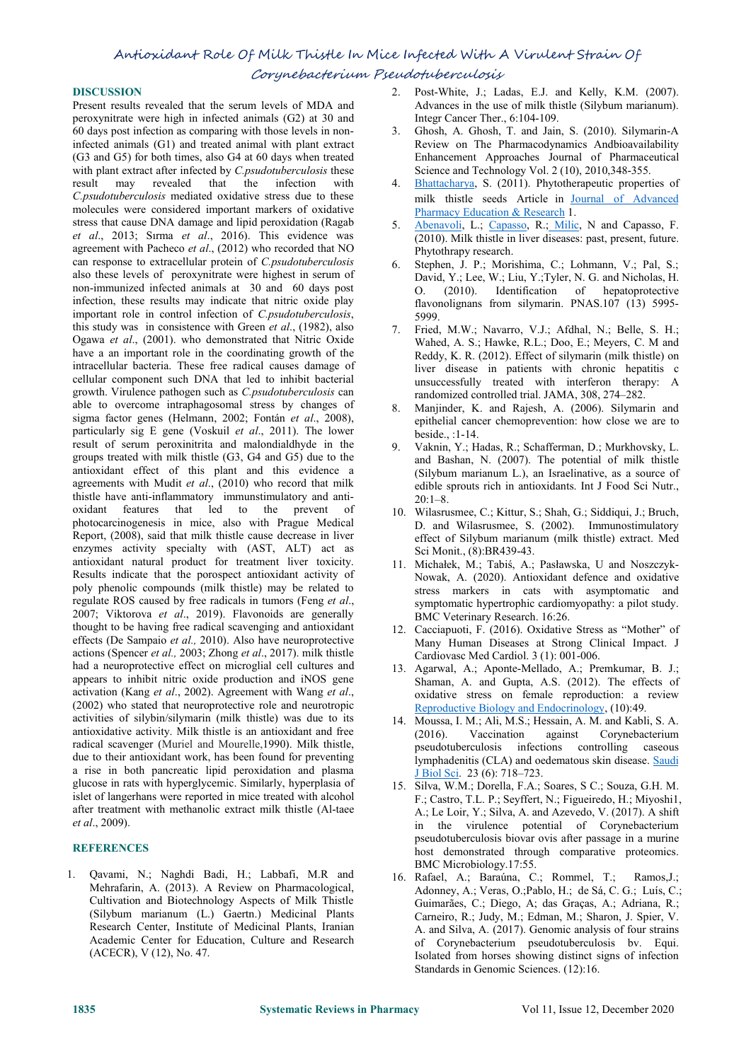Corynebacterium Pseudotuberculosis

## **DISCUSSION**

Present results revealed that the serum levels of MDA and peroxynitrate were high in infected animals (G2) at 30 and 60 days post infection as comparing with those levels in noninfected animals (G1) and treated animal with plant extract (G3 and G5) for both times, also G4 at 60 dayswhen treated with plant extract after infected by *C.psudotuberculosis* these result may revealed that the infection with *C.psudotuberculosis* mediated oxidative stress due to these molecules were considered important markers of oxidative stress that cause DNA damage and lipid peroxidation (Ragab *et al*., 2013; Sırma *et al*., 2016). This evidence was agreement with Pacheco *et al*., (2012) who recorded that NO can response to extracellular protein of *C.psudotuberculosis* also these levels of peroxynitrate were highest in serum of non-immunized infected animals at 30 and 60 days post infection, these results may indicate that nitric oxide play important role in control infection of *C.psudotuberculosis*, this study was in consistence with Green *et al*., (1982), also Ogawa *et al*., (2001). who demonstrated that Nitric Oxide have a an important role in the coordinating growth of the intracellular bacteria. These free radical causes damage of cellular component such DNA that led to inhibit bacterial growth. Virulence pathogen such as *C.psudotuberculosis* can able to overcome intraphagosomal stress by changes of sigma factor genes (Helmann, 2002; Fontán *et al*., 2008), particularly sig E gene (Voskuil*et al*., 2011). The lower result of serum peroxinitrita and malondialdhyde in the groups treated with milk thistle (G3, G4 and G5) due to the antioxidant effect of this plant and this evidence a agreements with Mudit *et al*., (2010) who record that milk thistle have anti-inflammatory immunstimulatory and anti oxidant features that led to the prevent of photocarcinogenesis in mice, also with Prague Medical Report, (2008), said that milk thistle cause decrease in liver enzymes activity specialty with (AST, ALT) act as antioxidant natural product for treatment liver toxicity. Results indicate that the porospect antioxidant activity of poly phenolic compounds (milk thistle) may be related to regulate ROS caused by free radicals in tumors (Feng *et al*., 2007; Viktorova *et al*., 2019). Flavonoids are generally thought to be having free radical scavenging and antioxidant effects (De Sampaio *et al.,* 2010). Also have neuroprotective actions (Spencer *etal.,* 2003; Zhong *et al*., 2017). milk thistle had a neuroprotective effect on microglial cell cultures and appears to inhibit nitric oxide production and iNOS gene activation (Kang *et al*., 2002). Agreement with Wang *et al*., (2002) who stated that neuroprotective role and neurotropic activities of silybin/silymarin (milk thistle) was due to its antioxidative activity. Milk thistle is an antioxidant and free  $(2016)$ . radical scavenger (Muriel and Mourelle,1990). Milk thistle, due to their antioxidant work, has been found for preventing a rise in both pancreatic lipid peroxidation and plasma glucose in rats with hyperglycemic. Similarly, hyperplasia of islet of langerhans were reported in mice treated with alcohol after treatment with methanolic extract milk thistle (Al-taee *et al*., 2009).

## **REFERENCES**

1. Qavami, N.; Naghdi Badi, H.; Labbafi, M.R and Cultivation and Biotechnology Aspects of Milk Thistle (Silybum marianum (L.) Gaertn.) Medicinal Plants Research Center, Institute of Medicinal Plants, Iranian Academic Center for Education, Culture and Research (ACECR), V (12), No. 47.

- 2. Post-White, J.; Ladas, E.J. and Kelly, K.M. (2007). Advances in the use of milk thistle (Silybum marianum). Integr Cancer Ther., 6:104-109.
- 3. Ghosh, A. Ghosh, T. and Jain, S. (2010). Silymarin-A Review on The Pharmacodynamics Andbioavailability Enhancement Approaches Journal of Pharmaceutical Science and Technology Vol. 2 (10), 2010,348-355.
- [Bhattacharya](https://www.researchgate.net/scientific-contributions/2054998586_Sanjib_Bhattacharya), S. (2011). Phytotherapeutic properties of milk thistle seeds Article in Journal of [Advanced](https://www.researchgate.net/journal/2249-3379_Journal_of_Advanced_Pharmacy_Education_Research) Pharmacy Education & Research 1.
- [Abenavoli](https://onlinelibrary.wiley.com/action/doSearch?ContribAuthorStored=Abenavoli%2C+Ludovico), L.; [Capasso,](https://onlinelibrary.wiley.com/action/doSearch?ContribAuthorStored=Capasso%2C+Raffaele) R.; [Milic](https://onlinelibrary.wiley.com/action/doSearch?ContribAuthorStored=Milic%2C+Natasa), N and Capasso, F. (2010). Milk thistle in liver diseases: past, present, future. Phytothrapy research.
- Stephen, J. P.; Morishima, C.; Lohmann, V.; Pal, S.; David, Y.; Lee, W.; Liu, Y.;Tyler, N. G. and Nicholas, H. O. (2010). Identification of hepatoprotective flavonolignans from silymarin. PNAS.107 (13) 5995-5999.
- Fried, M.W.; Navarro, V.J.; Afdhal, N.; Belle, S. H.; Wahed, A. S.; Hawke, R.L.; Doo, E.; Meyers, C. M and Reddy, K. R. (2012). Effect of silymarin (milk thistle) on liver disease in patients with chronic hepatitis c unsuccessfully treated with interferon therapy: A randomized controlled trial. JAMA, 308, 274–282.
- 8. Manjinder, K. and Rajesh, A. (2006). Silymarin and epithelial cancer chemoprevention: how close we are to beside., :1-14.
- 9. Vaknin, Y.; Hadas, R.; Schafferman, D.; Murkhovsky, L. and Bashan, N. (2007). The potential of milk thistle (Silybum marianum L.), an Israelinative, as a source of edible sprouts rich in antioxidants. Int J Food Sci Nutr.,  $20.1 - 8$
- 10. Wilasrusmee, C.; Kittur, S.; Shah, G.; Siddiqui, J.; Bruch, D. and Wilasrusmee, S. (2002). Immunostimulatory effect of Silybum marianum (milk thistle) extract. Med Sci Monit., (8):BR439-43.
- 11. Michałek, M.; Tabiś, A.; Pasławska, U and Noszczyk- Nowak, A. (2020). Antioxidant defence and oxidative stress markers in cats with asymptomatic and symptomatic hypertrophic cardiomyopathy: a pilot study. BMC Veterinary Research. 16:26.
- 12. Cacciapuoti, F. (2016). Oxidative Stress as "Mother" of Many Human Diseases at Strong Clinical Impact. J Cardiovasc Med Cardiol. 3 (1): 001-006.
- 13. Agarwal, A.; Aponte-Mellado, A.; Premkumar, B. J.; Shaman, A. and Gupta, A.S. (2012). The effects of oxidative stress on female reproduction: a review Reproductive Biology and [Endocrinology,](https://link.springer.com/journal/12958) (10):49.
- 14. Moussa, I. M.; Ali, M.S.; Hessain, A. M. and Kabli, S. A. Vaccination against Corynebacterium pseudotuberculosis infections controlling caseous lymphadenitis (CLA) and oedematous skin disease. [Saudi](https://www.ncbi.nlm.nih.gov/pmc/articles/PMC5109496/) J Biol Sci. 23 (6): 718–723.
- 15. Silva, W.M.; Dorella, F.A.; Soares, S C.; Souza, G.H. M. F.; Castro, T.L. P.; Seyffert, N.; Figueiredo, H.; Miyoshi1, A.; Le Loir, Y.; Silva, A. and Azevedo, V. (2017). A shift in the virulence potential of Corynebacterium pseudotuberculosis biovar ovis after passage in a murine host demonstrated through comparative proteomics. BMC Microbiology.17:55.
- 16. Rafael, A.; Baraúna, C.; Rommel, T.; Ramos,J.; Adonney, A.; Veras, O.;Pablo, H.; de Sá, C. G.; Luís, C.; Guimarães, C.; Diego, A; das Graças, A.; Adriana, R.; Carneiro, R.; Judy, M.; Edman, M.; Sharon, J. Spier, V. A. and Silva, A. (2017). Genomic analysis of four strains of Corynebacterium pseudotuberculosis bv. Equi. Isolated from horses showing distinct signs of infection Standards in Genomic Sciences. (12):16.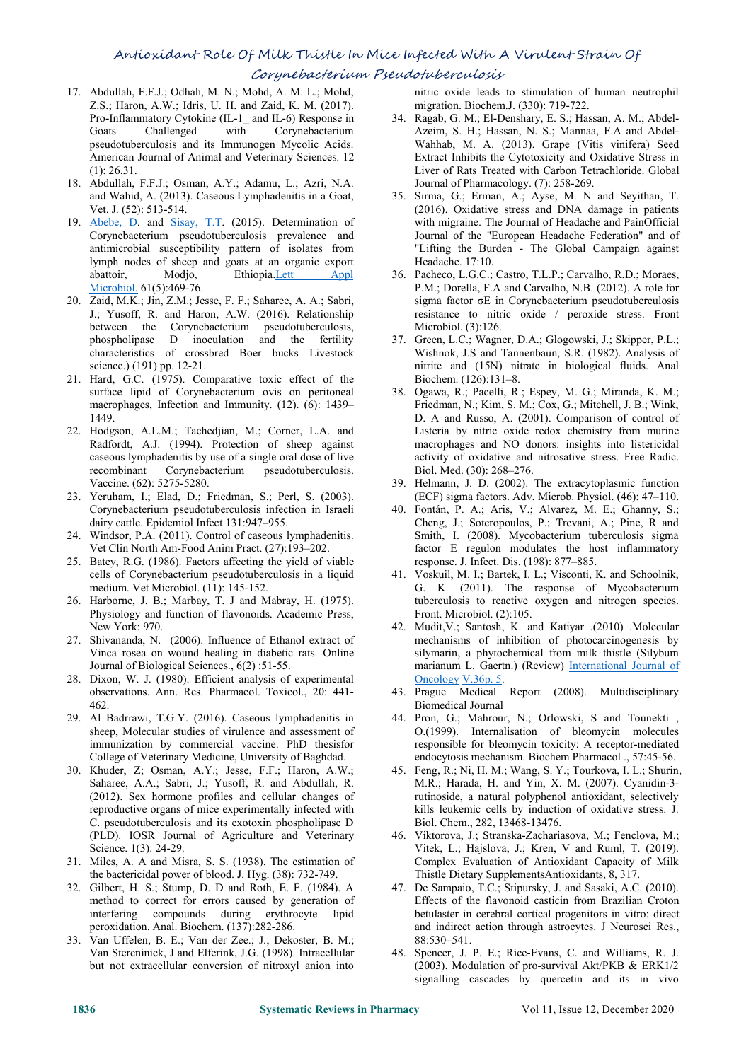# Antioxidant Role Of Milk Thistle In Mice Infected With A Virulent Strain Of

## Corynebacterium Pseudotuberculosis

- 17. Abdullah, F.F.J.; Odhah, M. N.; Mohd, A. M. L.; Mohd, Z.S.; Haron, A.W.; Idris, U. H. and Zaid, K. M. (2017). Pro-Inflammatory Cytokine (IL-1\_ and IL-6) Response in pseudotuberculosis and its Immunogen Mycolic Acids. American Journal of Animal and Veterinary Sciences. 12 (1): 26.31.
- 18. Abdullah, F.F.J.; Osman, A.Y.; Adamu, L.; Azri, N.A. and Wahid, A. (2013). Caseous Lymphadenitis in a Goat, Vet. J. (52): 513-514.
- 19. [Abebe,](https://www.ncbi.nlm.nih.gov/pubmed/?term=Abebe%20D%5BAuthor%5D&cauthor=true&cauthor_uid=26280351) D. and [Sisay,](https://www.ncbi.nlm.nih.gov/pubmed/?term=Sisay%20Tessema%20T%5BAuthor%5D&cauthor=true&cauthor_uid=26280351) T.T. (2015). Determination of Corynebacterium pseudotuberculosis prevalence and antimicrobial susceptibility pattern of isolates from lymph nodes of sheep and goats at an organic export abattoir, Modjo, Ethiopia.Lett [Appl](https://www.ncbi.nlm.nih.gov/pubmed/26280351) Microbiol. 61(5):469-76.
- 20. Zaid, M.K.; Jin, Z.M.; Jesse, F. F.; Saharee, A. A.; Sabri, J.; Yusoff, R. and Haron, A.W. (2016). Relationship between the Corynebacterium pseudotuberculosis, phospholipase D inoculation and the fertility characteristics of crossbred Boer bucks Livestock science.) (191) pp.12-21.
- 21. Hard, G.C. (1975). Comparative toxic effect of the surface lipid of Corynebacterium ovis on peritoneal macrophages, Infection and Immunity. (12). (6): 1439– 1449.
- 22. Hodgson, A.L.M.; Tachedjian, M.; Corner, L.A. and Radfordt, A.J. (1994). Protection of sheep against caseous lymphadenitis by use of a single oral dose of live recombinant Corynebacterium pseudotuberculosis. Vaccine. (62): 5275-5280.
- 23. Yeruham, I.; Elad, D.; Friedman, S.; Perl, S. (2003). Corynebacterium pseudotuberculosis infection in Israeli dairy cattle. Epidemiol Infect 131:947–955.
- 24. Windsor, P.A. (2011). Control of caseous lymphadenitis. Vet Clin North Am-Food Anim Pract. (27):193–202.
- 25. Batey, R.G. (1986). Factors affecting the yield of viable cells of Corynebacterium pseudotuberculosis in a liquid medium. Vet Microbiol. (11): 145-152.
- 26. Harborne, J. B.; Marbay, T. J and Mabray, H. (1975). Physiology and function of flavonoids. Academic Press, New York: 970.
- 27. Shivananda, N. (2006). Influence of Ethanol extract of Vinca rosea on wound healing in diabetic rats. Online Journal of Biological Sciences., 6(2) :51-55.
- 28. Dixon, W. J. (1980). Efficient analysis of experimental observations. Ann. Res. Pharmacol. Toxicol., 20: 441- 462.
- 29. Al Badrrawi, T.G.Y. (2016). Caseous lymphadenitis in sheep, Molecular studies of virulence and assessment of immunization by commercial vaccine. PhD thesisfor College of Veterinary Medicine, University of Baghdad.
- 30. Khuder, Z; Osman, A.Y.; Jesse, F.F.; Haron, A.W.; Saharee, A.A.; Sabri, J.; Yusoff, R. and Abdullah, R. (2012). Sex hormone profiles and cellular changes of reproductive organs of mice experimentally infected with C. pseudotuberculosis and its exotoxin phospholipase D (PLD). IOSR Journal of Agriculture and Veterinary Science. 1(3): 24-29.
- 31. Miles, A. A and Misra, S. S. (1938). The estimation of the bactericidal power of blood. J. Hyg. (38): 732-749.
- 32. Gilbert, H. S.; Stump, D. D and Roth, E. F. (1984). A method to correct for errors caused by generation of interfering compounds during erythrocyte lipid peroxidation. Anal. Biochem. (137):282-286.
- 33. Van Uffelen, B. E.; Van der Zee.; J.; Dekoster, B. M.; Van Stereninick, J and Elferink, J.G. (1998). Intracellular but not extracellular conversion of nitroxyl anion into

nitric oxide leads to stimulation of human neutrophil migration. Biochem.J. (330): 719-722.

- Goats Challenged with Corynebacterium Azeim, S. H.; Hassan, N. S.; Mannaa, F.A and Abdel-34. Ragab, G. M.; El-Denshary, E. S.; Hassan, A. M.; Abdel- Wahhab, M. A. (2013). Grape (Vitis vinifera) Seed Extract Inhibits the Cytotoxicity and Oxidative Stress in Liver of Rats Treated with Carbon Tetrachloride. Global Journal of Pharmacology. (7): 258-269.
	- 35. Sırma, G.; Erman, A.; Ayse, M. N and Seyithan, T. (2016). Oxidative stress and DNA damage in patients with migraine. The Journal of Headache and PainOfficial Journal of the "European Headache Federation" and of "Lifting the Burden - The Global Campaign against Headache. 17:10.
	- 36. Pacheco, L.G.C.; Castro, T.L.P.; Carvalho, R.D.; Moraes, P.M.; Dorella, F.A and Carvalho, N.B. (2012). A role for sigma factor σE in Corynebacterium pseudotuberculosis resistance to nitric oxide / peroxide stress. Front Microbiol. (3):126.
	- 37. Green, L.C.; Wagner, D.A.; Glogowski, J.; Skipper, P.L.; Wishnok, J.S and Tannenbaun, S.R. (1982). Analysis of nitrite and (15N) nitrate in biological fluids. Anal Biochem. (126):131–8.
	- 38. Ogawa, R.; Pacelli, R.; Espey, M. G.; Miranda, K. M.; Friedman, N.; Kim, S. M.; Cox, G.; Mitchell, J. B.; Wink, D. A and Russo, A. (2001). Comparison of control of Listeria by nitric oxide redox chemistry from murine macrophages and NO donors: insights into listericidal activity of oxidative and nitrosative stress. Free Radic. Biol. Med. (30): 268–276.
	- 39. Helmann, J. D. (2002). The extracytoplasmic function (ECF) sigma factors. Adv. Microb. Physiol. (46): 47–110.
	- 40. Fontán, P. A.; Aris, V.; Alvarez, M. E.; Ghanny, S.; Cheng, J.; Soteropoulos, P.; Trevani, A.; Pine, R and Smith, I. (2008). Mycobacterium tuberculosis sigma factor E regulon modulates the host inflammatory response. J. Infect. Dis. (198): 877–885.
	- 41. Voskuil, M. I.; Bartek, I. L.; Visconti, K. and Schoolnik, G. K. (2011). The response of Mycobacterium tuberculosis to reactive oxygen and nitrogen species. Front. Microbiol. (2):105.
	- 42. Mudit,V.; Santosh, K. and Katiyar .(2010) .Molecular mechanisms of inhibition of photocarcinogenesis by silymarin, a phytochemical from milk thistle (Silybum marianum L. Gaertn.) (Review) [International](http://www.spandidos-publications.com/ijo) Journal of Oncology [V.36p.](http://www.spandidos-publications.com/ijo/articles.jsp?issue_id=ijo_36_5) 5.
	- 43. Prague Medical Report (2008). Multidisciplinary Biomedical Journal
	- 44. Pron, G.; Mahrour, N.; Orlowski, S and Tounekti, O.(1999). Internalisation of bleomycin molecules responsible for bleomycin toxicity: A receptor-mediated endocytosis mechanism. Biochem Pharmacol ., 57:45-56.
	- 45. Feng, R.; Ni, H. M.; Wang, S. Y.; Tourkova, I. L.; Shurin, M.R.; Harada, H. and Yin, X. M. (2007). Cyanidin-3 rutinoside, a natural polyphenol antioxidant, selectively kills leukemic cells by induction of oxidative stress. J. Biol. Chem., 282, 13468-13476.
	- 46. Viktorova, J.; Stranska-Zachariasova, M.; Fenclova, M.; Vitek, L.; Hajslova, J.; Kren, V and Ruml, T. (2019). Complex Evaluation of Antioxidant Capacity of Milk Thistle Dietary SupplementsAntioxidants, 8, 317.
	- 47. De Sampaio, T.C.; Stipursky, J. and Sasaki, A.C. (2010). Effects of the flavonoid casticin from Brazilian Croton betulaster in cerebral cortical progenitors in vitro: direct and indirect action through astrocytes. J Neurosci Res., 88:530–541.
	- 48. Spencer, J. P. E.; Rice-Evans, C. and Williams, R. J. (2003). Modulation of pro-survival Akt/PKB & ERK1/2 signalling cascades by quercetin and its in vivo